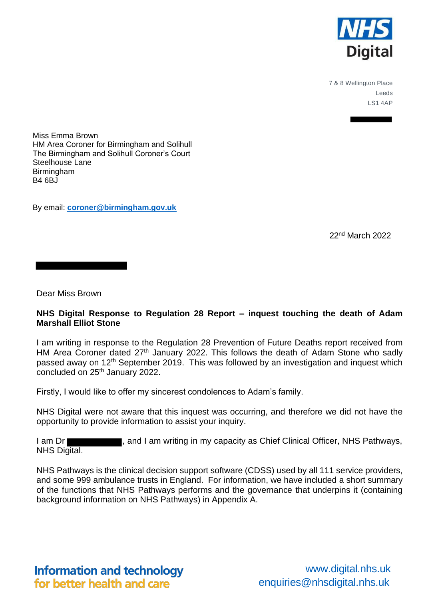

7 & 8 Wellington Place Leeds LS1 4AP

Miss Emma Brown HM Area Coroner for Birmingham and Solihull The Birmingham and Solihull Coroner's Court Steelhouse Lane **Birmingham** B4 6BJ

By email: **[coroner@birmingham.gov.uk](mailto:coroner@birmingham.gov.uk)**

22nd March 2022

Dear Miss Brown

# **NHS Digital Response to Regulation 28 Report – inquest touching the death of Adam Marshall Elliot Stone**

I am writing in response to the Regulation 28 Prevention of Future Deaths report received from HM Area Coroner dated 27<sup>th</sup> January 2022. This follows the death of Adam Stone who sadly passed away on 12<sup>th</sup> September 2019. This was followed by an investigation and inquest which concluded on 25th January 2022.

Firstly, I would like to offer my sincerest condolences to Adam's family.

NHS Digital were not aware that this inquest was occurring, and therefore we did not have the opportunity to provide information to assist your inquiry.

I am Dr **Eddie I am Strutter and I am writing in my capacity as Chief Clinical Officer, NHS Pathways,** NHS Digital.

NHS Pathways is the clinical decision support software (CDSS) used by all 111 service providers, and some 999 ambulance trusts in England. For information, we have included a short summary of the functions that NHS Pathways performs and the governance that underpins it (containing background information on NHS Pathways) in Appendix A.

**Information and technology** for better health and care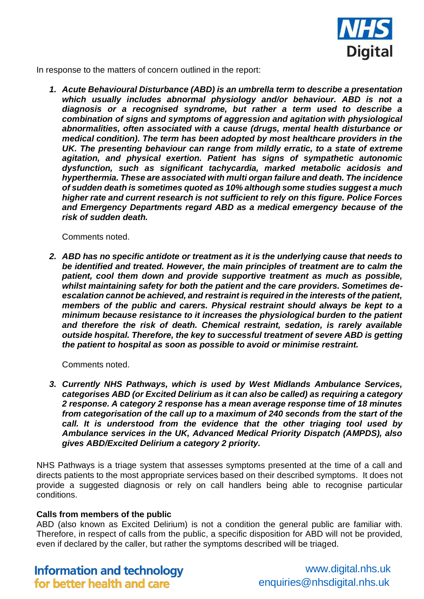

In response to the matters of concern outlined in the report:

*1. Acute Behavioural Disturbance (ABD) is an umbrella term to describe a presentation which usually includes abnormal physiology and/or behaviour. ABD is not a diagnosis or a recognised syndrome, but rather a term used to describe a combination of signs and symptoms of aggression and agitation with physiological abnormalities, often associated with a cause (drugs, mental health disturbance or medical condition). The term has been adopted by most healthcare providers in the UK. The presenting behaviour can range from mildly erratic, to a state of extreme agitation, and physical exertion. Patient has signs of sympathetic autonomic dysfunction, such as significant tachycardia, marked metabolic acidosis and hyperthermia. These are associated with multi organ failure and death. The incidence of sudden death is sometimes quoted as 10% although some studies suggest a much higher rate and current research is not sufficient to rely on this figure. Police Forces and Emergency Departments regard ABD as a medical emergency because of the risk of sudden death.* 

Comments noted.

*2. ABD has no specific antidote or treatment as it is the underlying cause that needs to be identified and treated. However, the main principles of treatment are to calm the patient, cool them down and provide supportive treatment as much as possible, whilst maintaining safety for both the patient and the care providers. Sometimes deescalation cannot be achieved, and restraint is required in the interests of the patient, members of the public and carers. Physical restraint should always be kept to a minimum because resistance to it increases the physiological burden to the patient and therefore the risk of death. Chemical restraint, sedation, is rarely available outside hospital. Therefore, the key to successful treatment of severe ABD is getting the patient to hospital as soon as possible to avoid or minimise restraint.*

Comments noted.

*3. Currently NHS Pathways, which is used by West Midlands Ambulance Services, categorises ABD (or Excited Delirium as it can also be called) as requiring a category 2 response. A category 2 response has a mean average response time of 18 minutes from categorisation of the call up to a maximum of 240 seconds from the start of the call. It is understood from the evidence that the other triaging tool used by Ambulance services in the UK, Advanced Medical Priority Dispatch (AMPDS), also gives ABD/Excited Delirium a category 2 priority.* 

NHS Pathways is a triage system that assesses symptoms presented at the time of a call and directs patients to the most appropriate services based on their described symptoms. It does not provide a suggested diagnosis or rely on call handlers being able to recognise particular conditions.

# **Calls from members of the public**

ABD (also known as Excited Delirium) is not a condition the general public are familiar with. Therefore, in respect of calls from the public, a specific disposition for ABD will not be provided, even if declared by the caller, but rather the symptoms described will be triaged.

**Information and technology** for better health and care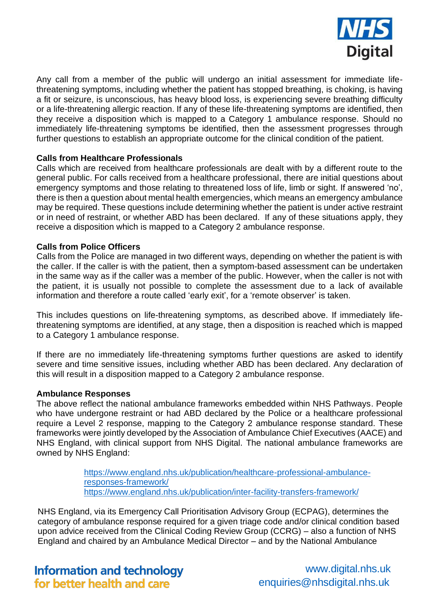

Any call from a member of the public will undergo an initial assessment for immediate lifethreatening symptoms, including whether the patient has stopped breathing, is choking, is having a fit or seizure, is unconscious, has heavy blood loss, is experiencing severe breathing difficulty or a life-threatening allergic reaction. If any of these life-threatening symptoms are identified, then they receive a disposition which is mapped to a Category 1 ambulance response. Should no immediately life-threatening symptoms be identified, then the assessment progresses through further questions to establish an appropriate outcome for the clinical condition of the patient.

# **Calls from Healthcare Professionals**

Calls which are received from healthcare professionals are dealt with by a different route to the general public. For calls received from a healthcare professional, there are initial questions about emergency symptoms and those relating to threatened loss of life, limb or sight. If answered 'no', there is then a question about mental health emergencies, which means an emergency ambulance may be required. These questions include determining whether the patient is under active restraint or in need of restraint, or whether ABD has been declared. If any of these situations apply, they receive a disposition which is mapped to a Category 2 ambulance response.

# **Calls from Police Officers**

Calls from the Police are managed in two different ways, depending on whether the patient is with the caller. If the caller is with the patient, then a symptom-based assessment can be undertaken in the same way as if the caller was a member of the public. However, when the caller is not with the patient, it is usually not possible to complete the assessment due to a lack of available information and therefore a route called 'early exit', for a 'remote observer' is taken.

This includes questions on life-threatening symptoms, as described above. If immediately lifethreatening symptoms are identified, at any stage, then a disposition is reached which is mapped to a Category 1 ambulance response.

If there are no immediately life-threatening symptoms further questions are asked to identify severe and time sensitive issues, including whether ABD has been declared. Any declaration of this will result in a disposition mapped to a Category 2 ambulance response.

# **Ambulance Responses**

The above reflect the national ambulance frameworks embedded within NHS Pathways. People who have undergone restraint or had ABD declared by the Police or a healthcare professional require a Level 2 response, mapping to the Category 2 ambulance response standard. These frameworks were jointly developed by the Association of Ambulance Chief Executives (AACE) and NHS England, with clinical support from NHS Digital. The national ambulance frameworks are owned by NHS England:

> [https://www.england.nhs.uk/publication/healthcare-professional-ambulance](https://www.england.nhs.uk/publication/healthcare-professional-ambulance-responses-framework/)[responses-framework/](https://www.england.nhs.uk/publication/healthcare-professional-ambulance-responses-framework/) <https://www.england.nhs.uk/publication/inter-facility-transfers-framework/>

NHS England, via its Emergency Call Prioritisation Advisory Group (ECPAG), determines the category of ambulance response required for a given triage code and/or clinical condition based upon advice received from the Clinical Coding Review Group (CCRG) – also a function of NHS England and chaired by an Ambulance Medical Director – and by the National Ambulance

**Information and technology** for better health and care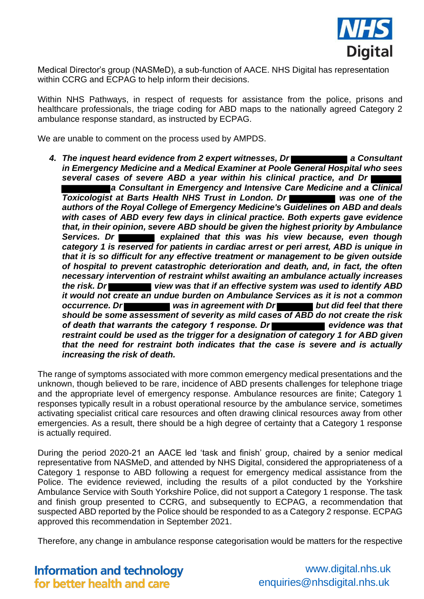

Medical Director's group (NASMeD), a sub-function of AACE. NHS Digital has representation within CCRG and ECPAG to help inform their decisions.

Within NHS Pathways, in respect of requests for assistance from the police, prisons and healthcare professionals, the triage coding for ABD maps to the nationally agreed Category 2 ambulance response standard, as instructed by ECPAG.

We are unable to comment on the process used by AMPDS.

4. The inquest heard evidence from 2 expert witnesses, Dr *in Emergency Medicine and a Medical Examiner at Poole General Hospital who sees several cases of severe ABD a year within his clinical practice, and Dr a Consultant in Emergency and Intensive Care Medicine and a Clinical*  **Toxicologist at Barts Health NHS Trust in London. Dr Was one of the** *Toxicologist at Barts Health NHS Trust in London. Dr authors of the Royal College of Emergency Medicine's Guidelines on ABD and deals with cases of ABD every few days in clinical practice. Both experts gave evidence that, in their opinion, severe ABD should be given the highest priority by Ambulance*  **Services. Dr explained that this was his view because, even though Services.** *category 1 is reserved for patients in cardiac arrest or peri arrest, ABD is unique in that it is so difficult for any effective treatment or management to be given outside of hospital to prevent catastrophic deterioration and death, and, in fact, the often necessary intervention of restraint whilst awaiting an ambulance actually increases the risk. Dr* view was that if an effective system was used to identify ABD *it would not create an undue burden on Ambulance Services as it is not a common occurrence. Dr* **Was in agreement with Dr but did feel that there <b>***but did feel that there should be some assessment of severity as mild cases of ABD do not create the risk*  of death that warrants the category 1 response. Dr **example 10 ratio was that** evidence was that *restraint could be used as the trigger for a designation of category 1 for ABD given that the need for restraint both indicates that the case is severe and is actually increasing the risk of death.* 

The range of symptoms associated with more common emergency medical presentations and the unknown, though believed to be rare, incidence of ABD presents challenges for telephone triage and the appropriate level of emergency response. Ambulance resources are finite; Category 1 responses typically result in a robust operational resource by the ambulance service, sometimes activating specialist critical care resources and often drawing clinical resources away from other emergencies. As a result, there should be a high degree of certainty that a Category 1 response is actually required.

During the period 2020-21 an AACE led 'task and finish' group, chaired by a senior medical representative from NASMeD, and attended by NHS Digital, considered the appropriateness of a Category 1 response to ABD following a request for emergency medical assistance from the Police. The evidence reviewed, including the results of a pilot conducted by the Yorkshire Ambulance Service with South Yorkshire Police, did not support a Category 1 response. The task and finish group presented to CCRG, and subsequently to ECPAG, a recommendation that suspected ABD reported by the Police should be responded to as a Category 2 response. ECPAG approved this recommendation in September 2021.

Therefore, any change in ambulance response categorisation would be matters for the respective

**Information and technology** for better health and care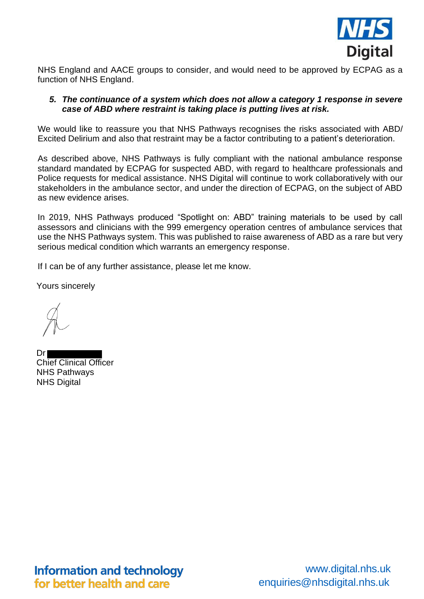

NHS England and AACE groups to consider, and would need to be approved by ECPAG as a function of NHS England.

## *5. The continuance of a system which does not allow a category 1 response in severe case of ABD where restraint is taking place is putting lives at risk.*

We would like to reassure you that NHS Pathways recognises the risks associated with ABD/ Excited Delirium and also that restraint may be a factor contributing to a patient's deterioration.

As described above, NHS Pathways is fully compliant with the national ambulance response standard mandated by ECPAG for suspected ABD, with regard to healthcare professionals and Police requests for medical assistance. NHS Digital will continue to work collaboratively with our stakeholders in the ambulance sector, and under the direction of ECPAG, on the subject of ABD as new evidence arises.

In 2019, NHS Pathways produced "Spotlight on: ABD" training materials to be used by call assessors and clinicians with the 999 emergency operation centres of ambulance services that use the NHS Pathways system. This was published to raise awareness of ABD as a rare but very serious medical condition which warrants an emergency response.

If I can be of any further assistance, please let me know.

Yours sincerely

Dr Chief Clinical Officer NHS Pathways NHS Digital

**Information and technology** for better health and care